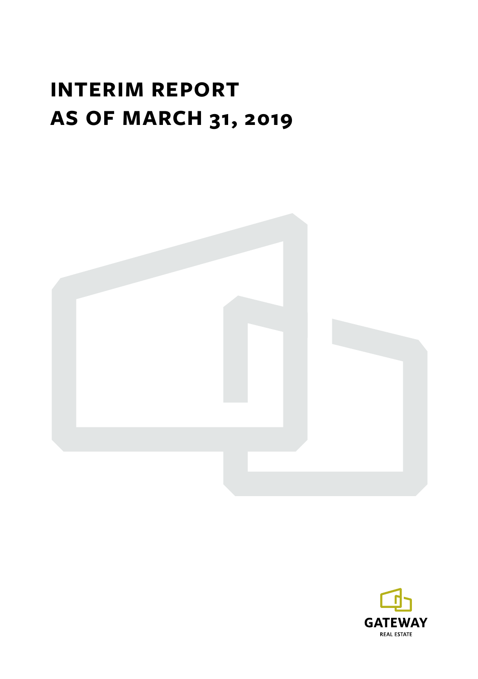# **INTERIM REPORT AS OF MARCH 31, 2019**



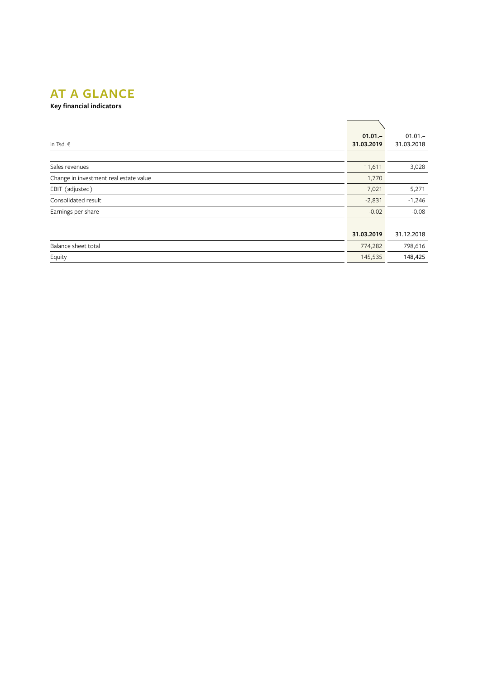# **AT A GLANCE**

**Key financial indicators**

| in Tsd. €                              | $01.01 -$<br>31.03.2019 | $01.01 -$<br>31.03.2018 |
|----------------------------------------|-------------------------|-------------------------|
|                                        |                         |                         |
| Sales revenues                         | 11,611                  | 3,028                   |
| Change in investment real estate value | 1,770                   |                         |
| EBIT (adjusted)                        | 7,021                   | 5,271                   |
| Consolidated result                    | $-2,831$                | $-1,246$                |
| Earnings per share                     | $-0.02$                 | $-0.08$                 |
|                                        |                         |                         |
|                                        | 31.03.2019              | 31.12.2018              |
| Balance sheet total                    | 774,282                 | 798,616                 |
| Equity                                 | 145,535                 | 148,425                 |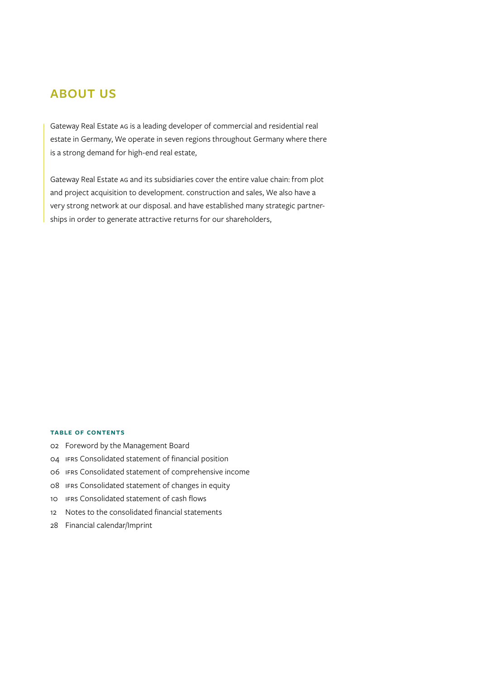# **ABOUT US**

Gateway Real Estate AG is a leading developer of commercial and residential real estate in Germany, We operate in seven regions throughout Germany where there is a strong demand for high-end real estate,

Gateway Real Estate AG and its subsidiaries cover the entire value chain: from plot and project acquisition to development. construction and sales, We also have a very strong network at our disposal. and have established many strategic partnerships in order to generate attractive returns for our shareholders,

#### **Table of contents**

- 02 Foreword by the Management Board
- 04 IFRS Consolidated statement of financial position
- 06 IFRS Consolidated statement of comprehensive income
- 08 IFRS Consolidated statement of changes in equity
- 10 IFRS Consolidated statement of cash flows
- 12 Notes to the consolidated financial statements
- 28 Financial calendar/Imprint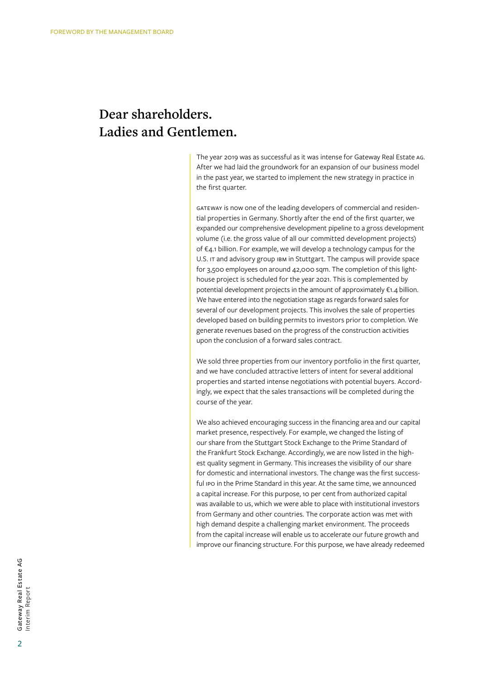# **Dear shareholders. Ladies and Gentlemen.**

The year 2019 was as successful as it was intense for Gateway Real Estate  AG. After we had laid the groundwork for an expansion of our business model in the past year, we started to implement the new strategy in practice in the   first quarter.

Gateway is now one of the leading developers of commercial and residential properties in Germany. Shortly after the end of the first quarter, we expanded our comprehensive development pipeline to a gross development volume (i.e. the gross value of all our committed development projects) of €4.1  billion. For example, we will develop a technology campus for the U.S. IT and advisory group IBM in Stuttgart. The campus will provide space for 3,500  employees on around 42,000  sqm. The completion of this lighthouse project is scheduled for the year  2021. This is complemented by potential development projects in the amount of approximately €1.4  billion. We have entered into the negotiation stage as regards forward sales for several of our development projects. This involves the sale of properties developed based on building permits to investors prior to completion. We generate revenues based on the progress of the construction activities upon the conclusion of a forward sales contract.

We sold three properties from our inventory portfolio in the first quarter, and we have concluded attractive letters of intent for several additional properties and started intense negotiations with potential buyers. Accordingly, we expect that the sales transactions will be completed during the course of the year.

We also achieved encouraging success in the financing area and our capital market presence, respectively. For example, we changed the listing of our share from the Stuttgart Stock Exchange to the Prime Standard of the  Frankfurt Stock Exchange. Accordingly, we are now listed in the highest quality segment in Germany. This increases the visibility of our share for domestic and international investors. The change was the first successful ipo in the Prime Standard in this year. At the same time, we announced a capital increase. For this purpose, 10 per cent from authorized capital was available to us, which we were able to place with institutional investors from Germany and other countries. The corporate action was met with high demand despite a challenging market environment. The proceeds from the  capital increase will enable us to accelerate our future growth and improve our  financing structure. For this purpose, we have already redeemed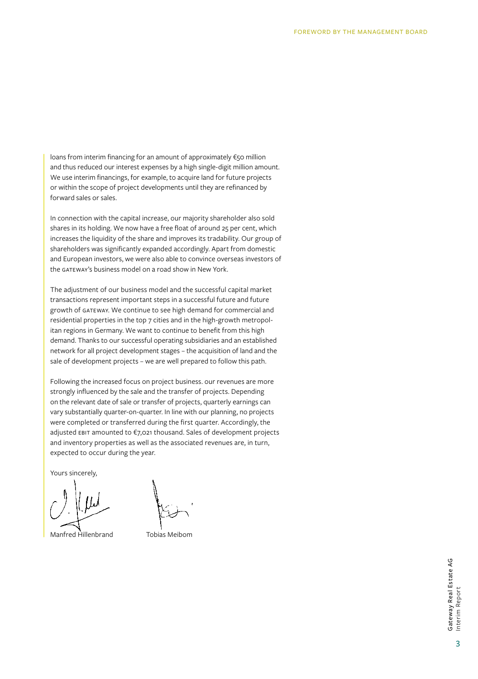loans from interim financing for an amount of approximately €50  million and  thus reduced our interest expenses by a high single-digit million amount. We use  interim financings, for example, to acquire land for future projects or  within the scope of project developments until they are refinanced by forward sales or sales.

In connection with the capital increase, our majority shareholder also sold shares in its holding. We now have a free float of around 25 per cent, which increases the liquidity of the share and improves its tradability. Our group of shareholders was significantly expanded accordingly. Apart from domestic and European investors, we were also able to convince overseas investors of the GATEWAY's business model on a road show in New York.

The adjustment of our business model and the successful capital market transactions represent important steps in a successful future and future growth of GATEWAY. We continue to see high demand for commercial and residential properties in the top 7 cities and in the high-growth metropolitan regions in Germany. We want to continue to benefit from this high demand. Thanks to our successful operating subsidiaries and an established network for all project development stages – the acquisition of land and the sale of  development projects – we are well prepared to follow this path.

Following the increased focus on project business. our revenues are more strongly influenced by the sale and the transfer of projects. Depending on  the relevant date of sale or transfer of projects, quarterly earnings can vary substantially quarter-on-quarter. In line with our planning, no projects were completed or transferred during the first quarter. Accordingly, the adjusted EBIT amounted to €7,021 thousand. Sales of development projects and inventory properties as well as the associated revenues are, in turn, expected to occur during the year.

Yours sincerely,

Manfred Hillenbrand Tobias Meibom

3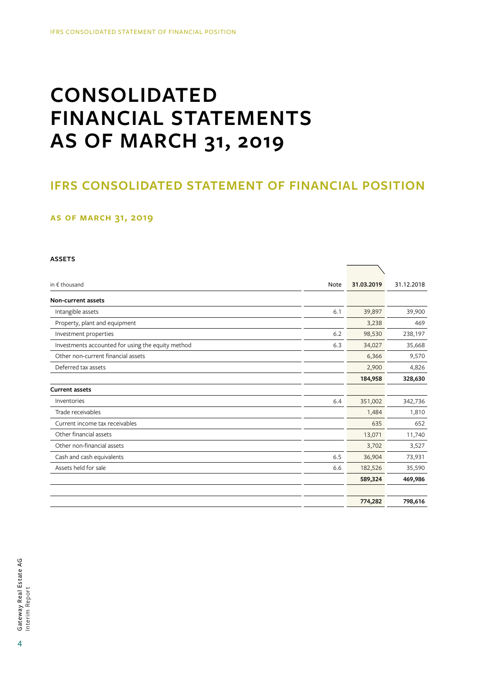# **CONSOLIDATED FINANCIAL STATEMENTS AS OF MARCH 31, 2019**

# **IFRS CONSOLIDATED STATEMENT OF FINANCIAL POSITION**

 $\overline{\phantom{a}}$ 

### **as of March 31, 2019**

#### **ASSETS**

| in $\epsilon$ thousand                            | Note | 31.03.2019 | 31.12.2018 |
|---------------------------------------------------|------|------------|------------|
| Non-current assets                                |      |            |            |
| Intangible assets                                 | 6.1  | 39,897     | 39,900     |
| Property, plant and equipment                     |      | 3,238      | 469        |
| Investment properties                             | 6.2  | 98,530     | 238,197    |
| Investments accounted for using the equity method | 6.3  | 34,027     | 35,668     |
| Other non-current financial assets                |      | 6,366      | 9,570      |
| Deferred tax assets                               |      | 2,900      | 4,826      |
|                                                   |      | 184,958    | 328,630    |
| <b>Current assets</b>                             |      |            |            |
| Inventories                                       | 6.4  | 351,002    | 342,736    |
| Trade receivables                                 |      | 1,484      | 1,810      |
| Current income tax receivables                    |      | 635        | 652        |
| Other financial assets                            |      | 13,071     | 11,740     |
| Other non-financial assets                        |      | 3,702      | 3,527      |
| Cash and cash equivalents                         | 6.5  | 36,904     | 73,931     |
| Assets held for sale                              | 6.6  | 182,526    | 35,590     |
|                                                   |      | 589,324    | 469,986    |
|                                                   |      |            |            |
|                                                   |      | 774,282    | 798,616    |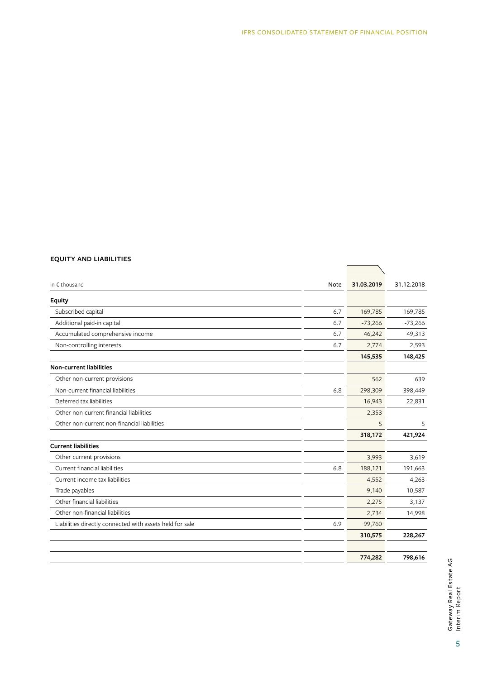#### **EQUITY AND LIABILITIES**

| in € thousand                                            | Note | 31.03.2019 | 31.12.2018 |  |
|----------------------------------------------------------|------|------------|------------|--|
| Equity                                                   |      |            |            |  |
| Subscribed capital                                       | 6.7  | 169,785    | 169,785    |  |
| Additional paid-in capital                               | 6.7  | $-73,266$  | $-73,266$  |  |
| Accumulated comprehensive income                         | 6.7  | 46,242     | 49,313     |  |
| Non-controlling interests                                | 6.7  | 2,774      | 2,593      |  |
|                                                          |      | 145,535    | 148,425    |  |
| <b>Non-current liabilities</b>                           |      |            |            |  |
| Other non-current provisions                             |      | 562        | 639        |  |
| Non-current financial liabilities                        | 6.8  | 298,309    | 398,449    |  |
| Deferred tax liabilities                                 |      | 16,943     | 22,831     |  |
| Other non-current financial liabilities                  |      | 2,353      |            |  |
| Other non-current non-financial liabilities              |      | 5          | 5          |  |
|                                                          |      | 318,172    | 421,924    |  |
| <b>Current liabilities</b>                               |      |            |            |  |
| Other current provisions                                 |      | 3,993      | 3,619      |  |
| Current financial liabilities                            | 6.8  | 188,121    | 191,663    |  |
| Current income tax liabilities                           |      | 4,552      | 4,263      |  |
| Trade payables                                           |      | 9,140      | 10,587     |  |
| Other financial liabilities                              |      | 2,275      | 3,137      |  |
| Other non-financial liabilities                          |      | 2,734      | 14,998     |  |
| Liabilities directly connected with assets held for sale | 6.9  | 99,760     |            |  |
|                                                          |      | 310,575    | 228,267    |  |
|                                                          |      | 774,282    | 798,616    |  |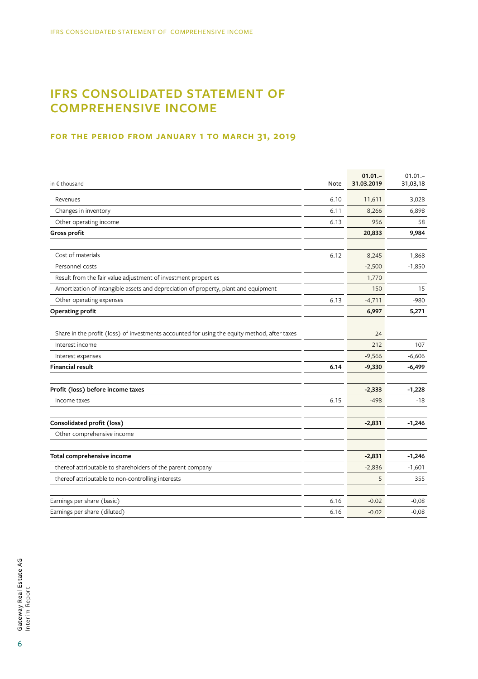# **IFRS CONSOLIDATED STATEMENT OF COMPREHENSIVE INCOME**

### **for the period from January 1 to March 31, 2019**

| in $\epsilon$ thousand                                                                       | Note | $01.01 -$<br>31.03.2019 | $01.01 -$<br>31,03,18 |
|----------------------------------------------------------------------------------------------|------|-------------------------|-----------------------|
| Revenues                                                                                     | 6.10 | 11,611                  | 3,028                 |
| Changes in inventory                                                                         | 6.11 | 8,266                   | 6,898                 |
| Other operating income                                                                       | 6.13 | 956                     | 58                    |
| Gross profit                                                                                 |      | 20,833                  | 9,984                 |
| Cost of materials                                                                            | 6.12 | $-8,245$                | $-1,868$              |
| Personnel costs                                                                              |      | $-2,500$                | $-1,850$              |
| Result from the fair value adjustment of investment properties                               |      | 1,770                   |                       |
| Amortization of intangible assets and depreciation of property, plant and equipment          |      | $-150$                  | $-15$                 |
| Other operating expenses                                                                     | 6.13 | $-4,711$                | $-980$                |
| Operating profit                                                                             |      | 6,997                   | 5,271                 |
| Share in the profit (loss) of investments accounted for using the equity method, after taxes |      | 24                      |                       |
| Interest income                                                                              |      | 212                     | 107                   |
| Interest expenses                                                                            |      | $-9,566$                | $-6,606$              |
| <b>Financial result</b>                                                                      | 6.14 | $-9,330$                | $-6,499$              |
| Profit (loss) before income taxes                                                            |      | $-2,333$                | $-1,228$              |
| Income taxes                                                                                 | 6.15 | $-498$                  | $-18$                 |
| Consolidated profit (loss)                                                                   |      | $-2,831$                | $-1,246$              |
| Other comprehensive income                                                                   |      |                         |                       |
| Total comprehensive income                                                                   |      | $-2,831$                | $-1,246$              |
| thereof attributable to shareholders of the parent company                                   |      | $-2,836$                | $-1,601$              |
| thereof attributable to non-controlling interests                                            |      | 5                       | 355                   |
| Earnings per share (basic)                                                                   | 6.16 | $-0.02$                 | $-0,08$               |
| Earnings per share (diluted)                                                                 | 6.16 | $-0.02$                 | $-0,08$               |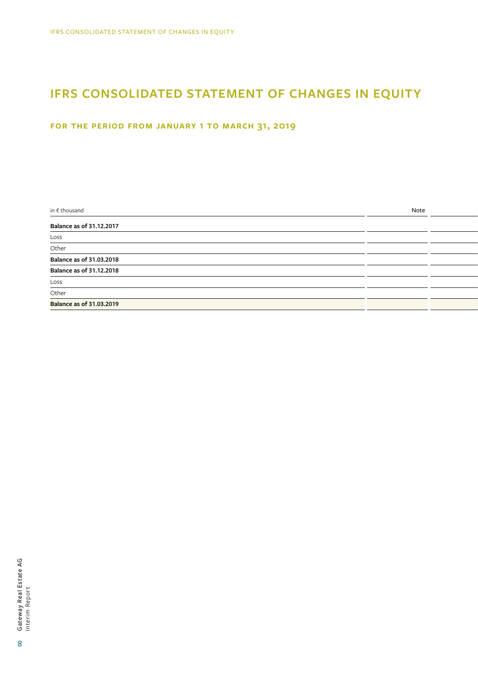# **IFRS CONSOLIDATED STATEMENT OF CHANGES IN EQUITY**

## **for the period from January 1 to March 31, 2019**

| Balance as of 31.12.2017        |  |
|---------------------------------|--|
|                                 |  |
| Loss                            |  |
| Other                           |  |
| <b>Balance as of 31.03.2018</b> |  |
| <b>Balance as of 31.12.2018</b> |  |
| $\underline{\text{Loss}}$       |  |
| Other                           |  |
| <b>Balance as of 31.03.2019</b> |  |

8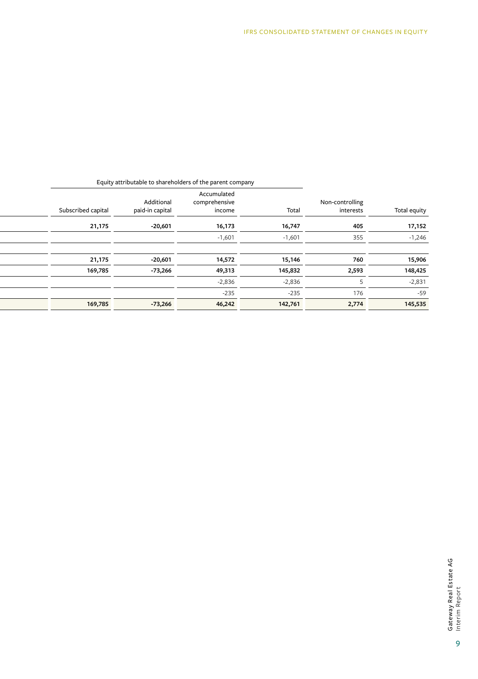|              |                              | Equity attributable to shareholders or the parent company |                                        |                               |                    |
|--------------|------------------------------|-----------------------------------------------------------|----------------------------------------|-------------------------------|--------------------|
| Total equity | Non-controlling<br>interests | Total                                                     | Accumulated<br>comprehensive<br>income | Additional<br>paid-in capital | Subscribed capital |
| 17,152       | 405                          | 16,747                                                    | 16,173                                 | $-20,601$                     | 21,175             |
| $-1,246$     | 355                          | $-1,601$                                                  | $-1,601$                               |                               |                    |
|              |                              |                                                           |                                        |                               |                    |
| 15,906       | 760                          | 15,146                                                    | 14,572                                 | $-20,601$                     | 21,175             |
| 148,425      | 2,593                        | 145,832                                                   | 49,313                                 | -73,266                       | 169,785            |
| $-2,831$     |                              | $-2,836$                                                  | $-2,836$                               |                               |                    |
| $-59$        | 176                          | $-235$                                                    | $-235$                                 |                               |                    |
| 145,535      | 2,774                        | 142,761                                                   | 46,242                                 | $-73,266$                     | 169,785            |

### Equity attributable to shareholders of the parent company

9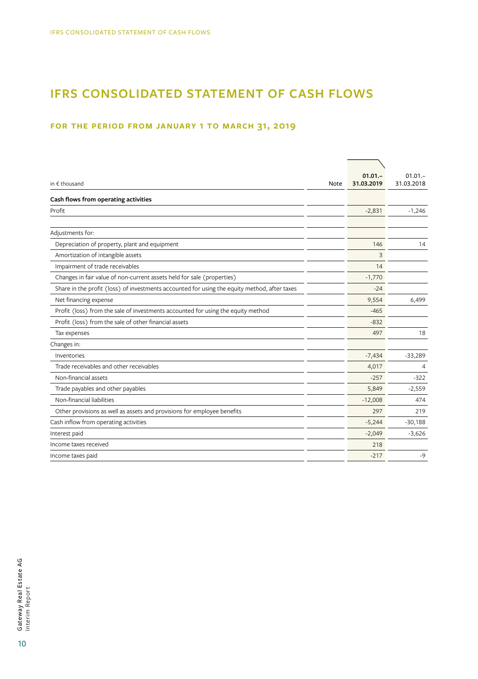# **IFRS CONSOLIDATED STATEMENT OF CASH FLOWS**

## **for the period from January 1 to March 31, 2019**

| in $f$ thousand                                                                              | Note | $01.01 -$<br>31.03.2019 | $01.01 -$<br>31.03.2018 |
|----------------------------------------------------------------------------------------------|------|-------------------------|-------------------------|
| Cash flows from operating activities                                                         |      |                         |                         |
| Profit                                                                                       |      | $-2,831$                | $-1,246$                |
| Adjustments for:                                                                             |      |                         |                         |
| Depreciation of property, plant and equipment                                                |      | 146                     | 14                      |
| Amortization of intangible assets                                                            |      | 3                       |                         |
| Impairment of trade receivables                                                              |      | 14                      |                         |
| Changes in fair value of non-current assets held for sale (properties)                       |      | $-1,770$                |                         |
| Share in the profit (loss) of investments accounted for using the equity method, after taxes |      | $-24$                   |                         |
| Net financing expense                                                                        |      | 9,554                   | 6,499                   |
| Profit (loss) from the sale of investments accounted for using the equity method             |      | $-465$                  |                         |
| Profit (loss) from the sale of other financial assets                                        |      | $-832$                  |                         |
| Tax expenses                                                                                 |      | 497                     | 18                      |
| Changes in:                                                                                  |      |                         |                         |
| Inventories                                                                                  |      | $-7,434$                | $-33,289$               |
| Trade receivables and other receivables                                                      |      | 4,017                   | 4                       |
| Non-financial assets                                                                         |      | $-257$                  | $-322$                  |
| Trade payables and other payables                                                            |      | 5,849                   | $-2,559$                |
| Non-financial liabilities                                                                    |      | $-12,008$               | 474                     |
| Other provisions as well as assets and provisions for employee benefits                      |      | 297                     | 219                     |
| Cash inflow from operating activities                                                        |      | $-5,244$                | $-30,188$               |
| Interest paid                                                                                |      | $-2,049$                | $-3,626$                |
| Income taxes received                                                                        |      | 218                     |                         |
| Income taxes paid                                                                            |      | $-217$                  | $-9$                    |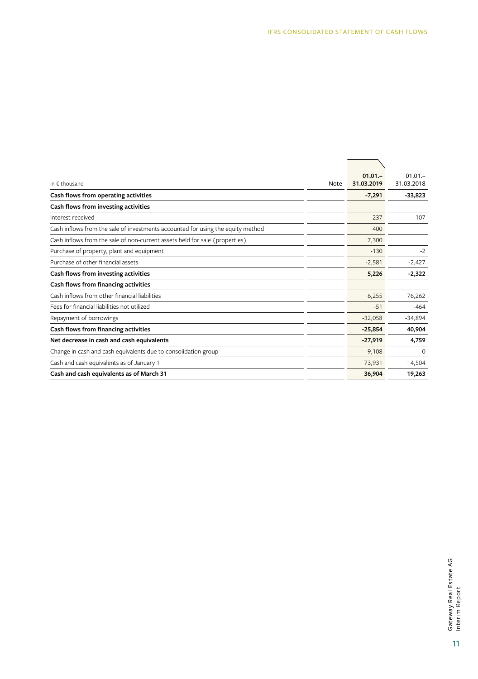|                                                                                 |      | $01.01 -$  | $01.01 -$  |
|---------------------------------------------------------------------------------|------|------------|------------|
| in $f$ thousand                                                                 | Note | 31.03.2019 | 31.03.2018 |
| Cash flows from operating activities                                            |      | $-7,291$   | $-33,823$  |
| Cash flows from investing activities                                            |      |            |            |
| Interest received                                                               |      | 237        | 107        |
| Cash inflows from the sale of investments accounted for using the equity method |      | 400        |            |
| Cash inflows from the sale of non-current assets held for sale (properties)     |      | 7,300      |            |
| Purchase of property, plant and equipment                                       |      | $-130$     | $-2$       |
| Purchase of other financial assets                                              |      | $-2,581$   | $-2,427$   |
| Cash flows from investing activities                                            |      | 5,226      | $-2,322$   |
| Cash flows from financing activities                                            |      |            |            |
| Cash inflows from other financial liabilities                                   |      | 6,255      | 76,262     |
| Fees for financial liabilities not utilized                                     |      | $-51$      | $-464$     |
| Repayment of borrowings                                                         |      | $-32,058$  | $-34,894$  |
| Cash flows from financing activities                                            |      | $-25,854$  | 40,904     |
| Net decrease in cash and cash equivalents                                       |      | $-27,919$  | 4,759      |
| Change in cash and cash equivalents due to consolidation group                  |      | $-9,108$   | $\Omega$   |
| Cash and cash equivalents as of January 1                                       |      | 73,931     | 14,504     |
| Cash and cash equivalents as of March 31                                        |      | 36,904     | 19,263     |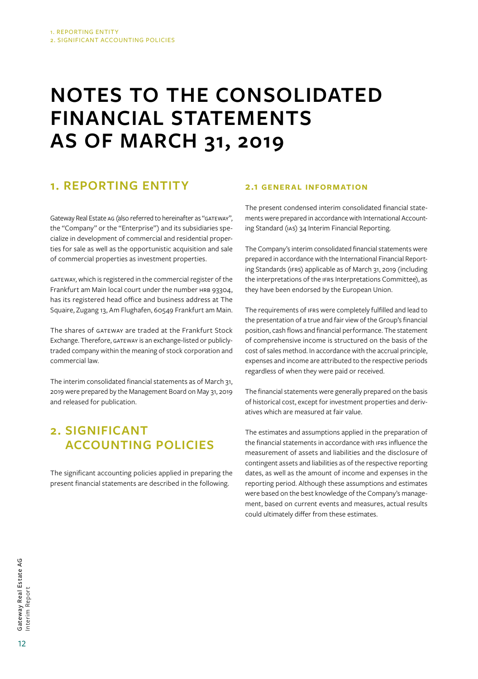# **NOTES TO THE CONSOLIDATED FINANCIAL STATEMENTS AS OF MARCH 31, 2019**

# **1. REPORTING ENTITY**

Gateway Real Estate AG (also referred to hereinafter as "GATEWAY", the "Company" or the "Enterprise") and its subsidiaries specialize in development of commercial and residential properties for sale as well as the opportunistic acquisition and sale of commercial properties as investment properties.

GATEWAY, which is registered in the commercial register of the Frankfurt am Main local court under the number HRB 93304, has its registered head office and business address at The Squaire, Zugang 13, Am Flughafen, 60549 Frankfurt am Main.

The shares of GATEWAY are traded at the Frankfurt Stock Exchange. Therefore, GATEWAY is an exchange-listed or publiclytraded company within the meaning of stock corporation and commercial law.

The interim consolidated financial statements as of March  31, 2019 were prepared by the Management Board on May 31, 2019 and released for publication.

# **2. SIGNIFICANT ACCOUNTING POLICIES**

The significant accounting policies applied in preparing the present financial statements are described in the following.

## **2.1 General information**

The present condensed interim consolidated financial statements were prepared in accordance with International Accounting Standard (IAS) 34 Interim Financial Reporting.

The Company's interim consolidated financial statements were prepared in accordance with the International Financial Reporting Standards (IFRS) applicable as of March 31, 2019 (including the interpretations of the IFRS Interpretations Committee), as they have been endorsed by the European Union.

The requirements of IFRS were completely fulfilled and lead to the presentation of a true and fair view of the Group's financial position, cash flows and financial performance. The statement of comprehensive income is structured on the basis of the cost of sales method. In accordance with the accrual principle, expenses and income are attributed to the respective periods regardless of when they were paid or received.

The financial statements were generally prepared on the basis of historical cost, except for investment properties and derivatives which are measured at fair value.

The estimates and assumptions applied in the preparation of the financial statements in accordance with IFRS influence the measurement of assets and liabilities and the disclosure of contingent assets and liabilities as of the respective reporting dates, as well as the amount of income and expenses in the reporting period. Although these assumptions and estimates were based on the best knowledge of the Company's management, based on current events and measures, actual results could ultimately differ from these estimates.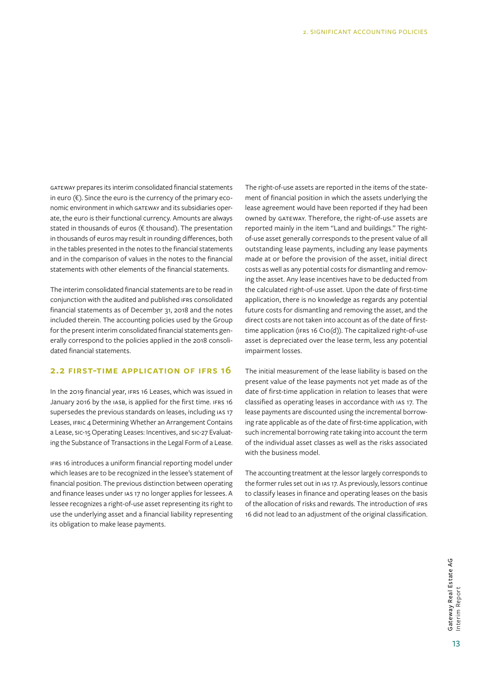GATEWAY prepares its interim consolidated financial statements in euro  $(\epsilon)$ . Since the euro is the currency of the primary economic environment in which GATEWAY and its subsidiaries operate, the euro is their functional currency. Amounts are always stated in thousands of euros (€ thousand). The presentation in thousands of euros may result in rounding differences, both in the tables presented in the notes to the financial statements and in the comparison of values in the notes to the financial statements with other elements of the financial statements.

The interim consolidated financial statements are to be read in conjunction with the audited and published IFRS consolidated financial statements as of December 31, 2018 and the notes included therein. The accounting policies used by the Group for the present interim consolidated financial statements generally correspond to the policies applied in the 2018 consolidated financial statements.

### **2.2 First-time application of IFRS 16**

In the 2019 financial year, IFRS 16 Leases, which was issued in January 2016 by the IASB, is applied for the first time. IFRS 16 supersedes the previous standards on leases, including IAS 17 Leases, IFRIC 4 Determining Whether an Arrangement Contains a Lease, SIC-15 Operating Leases: Incentives, and SIC-27 Evaluating the Substance of Transactions in the Legal Form of a Lease.

IFRS 16 introduces a uniform financial reporting model under which leases are to be recognized in the lessee's statement of financial position. The previous distinction between operating and finance leases under IAS 17 no longer applies for lessees. A lessee recognizes a right-of-use asset representing its right to use the underlying asset and a financial liability representing its obligation to make lease payments.

The right-of-use assets are reported in the items of the statement of financial position in which the assets underlying the lease agreement would have been reported if they had been owned by GATEWAY. Therefore, the right-of-use assets are reported mainly in the item "Land and buildings." The rightof-use asset generally corresponds to the present value of all outstanding lease payments, including any lease payments made at or before the provision of the asset, initial direct costs as well as any potential costs for dismantling and removing the asset. Any lease incentives have to be deducted from the calculated right-of-use asset. Upon the date of first-time application, there is no knowledge as regards any potential future costs for dismantling and removing the asset, and the direct costs are not taken into account as of the date of firsttime application (IFRS 16 C10(d)). The capitalized right-of-use asset is depreciated over the lease term, less any potential impairment losses.

The initial measurement of the lease liability is based on the present value of the lease payments not yet made as of the date of first-time application in relation to leases that were classified as operating leases in accordance with IAS 17. The lease payments are discounted using the incremental borrowing rate applicable as of the date of first-time application, with such incremental borrowing rate taking into account the term of the individual asset classes as well as the risks associated with the business model

The accounting treatment at the lessor largely corresponds to the former rules set out in IAS 17. As previously, lessors continue to classify leases in finance and operating leases on the basis of the allocation of risks and rewards. The introduction of IFRS 16 did not lead to an adjustment of the original classification.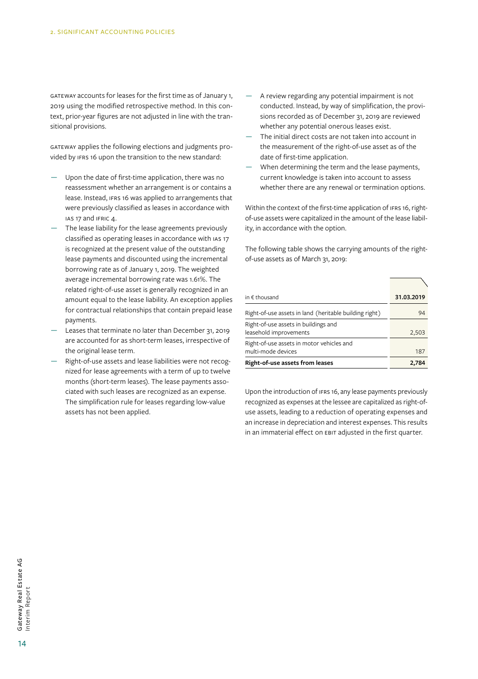GATEWAY accounts for leases for the first time as of January  1, 2019 using the modified retrospective method. In this context, prior-year figures are not adjusted in line with the transitional provisions.

GATEWAY applies the following elections and judgments provided by IFRS 16 upon the transition to the new standard:

- Upon the date of first-time application, there was no reassessment whether an arrangement is or contains a lease. Instead, IFRS 16 was applied to arrangements that were previously classified as leases in accordance with IAS 17 and IFRIC 4.
- The lease liability for the lease agreements previously classified as operating leases in accordance with IAS 17 is recognized at the present value of the outstanding lease payments and discounted using the incremental borrowing rate as of January 1, 2019. The weighted average incremental borrowing rate was 1.61%. The related right-of-use asset is generally recognized in an amount equal to the lease liability. An exception applies for contractual relationships that contain prepaid lease payments.
- Leases that terminate no later than December 31, 2019 are accounted for as short-term leases, irrespective of the original lease term.
- Right-of-use assets and lease liabilities were not recognized for lease agreements with a term of up to twelve months (short-term leases). The lease payments associated with such leases are recognized as an expense. The simplification rule for leases regarding low-value assets has not been applied.
- A review regarding any potential impairment is not conducted. Instead, by way of simplification, the provisions recorded as of December 31, 2019 are reviewed whether any potential onerous leases exist.
- The initial direct costs are not taken into account in the measurement of the right-of-use asset as of the date of first-time application.
- When determining the term and the lease payments, current knowledge is taken into account to assess whether there are any renewal or termination options.

Within the context of the first-time application of IFRS 16, rightof-use assets were capitalized in the amount of the lease liability, in accordance with the option.

The following table shows the carrying amounts of the rightof-use assets as of March 31, 2019:

| in $\epsilon$ thousand                                          | 31.03.2019 |
|-----------------------------------------------------------------|------------|
| Right-of-use assets in land (heritable building right)          | 94         |
| Right-of-use assets in buildings and<br>leasehold improvements  | 2,503      |
| Right-of-use assets in motor vehicles and<br>multi-mode devices | 187        |
| Right-of-use assets from leases                                 | 2,784      |

Upon the introduction of IFRS 16, any lease payments previously recognized as expenses at the lessee are capitalized as right-ofuse assets, leading to a reduction of operating expenses and an increase in depreciation and interest expenses. This results in an immaterial effect on EBIT adjusted in the first quarter.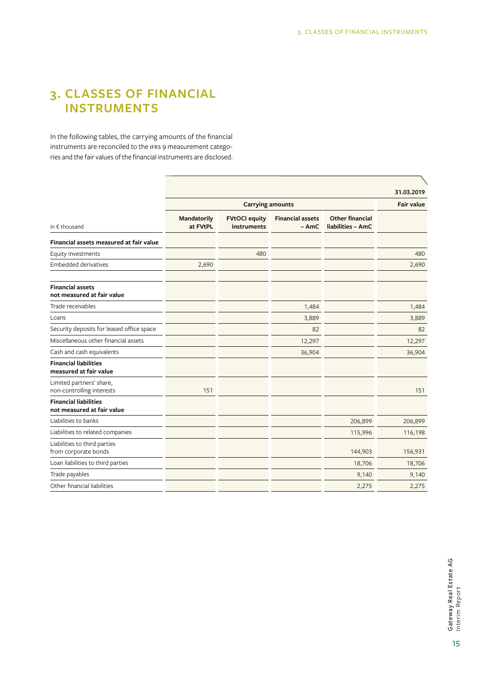# **3. CLASSES OF FINANCIAL INSTRUMENTS**

In the following tables, the carrying amounts of the financial instruments are reconciled to the IFRS 9 measurement categories and the fair values of the financial instruments are disclosed.

|                                |                                     |                                   |                                      | 31.03.2019 |
|--------------------------------|-------------------------------------|-----------------------------------|--------------------------------------|------------|
| <b>Carrying amounts</b>        |                                     |                                   |                                      |            |
| <b>Mandatorily</b><br>at FVtPL | <b>FVtOCI equity</b><br>instruments | <b>Financial assets</b><br>$-AmC$ | Other financial<br>liabilities - AmC |            |
|                                |                                     |                                   |                                      |            |
|                                | 480                                 |                                   |                                      | 480        |
| 2,690                          |                                     |                                   |                                      | 2,690      |
|                                |                                     |                                   |                                      |            |
|                                |                                     | 1,484                             |                                      | 1,484      |
|                                |                                     | 3,889                             |                                      | 3,889      |
|                                |                                     | 82                                |                                      | 82         |
|                                |                                     | 12,297                            |                                      | 12,297     |
|                                |                                     | 36,904                            |                                      | 36,904     |
|                                |                                     |                                   |                                      |            |
| 151                            |                                     |                                   |                                      | 151        |
|                                |                                     |                                   |                                      |            |
|                                |                                     |                                   | 206,899                              | 206,899    |
|                                |                                     |                                   | 115,996                              | 116,198    |
|                                |                                     |                                   | 144,903                              | 156,931    |
|                                |                                     |                                   | 18,706                               | 18,706     |
|                                |                                     |                                   | 9,140                                | 9,140      |
|                                |                                     |                                   | 2,275                                | 2,275      |
|                                |                                     |                                   |                                      |            |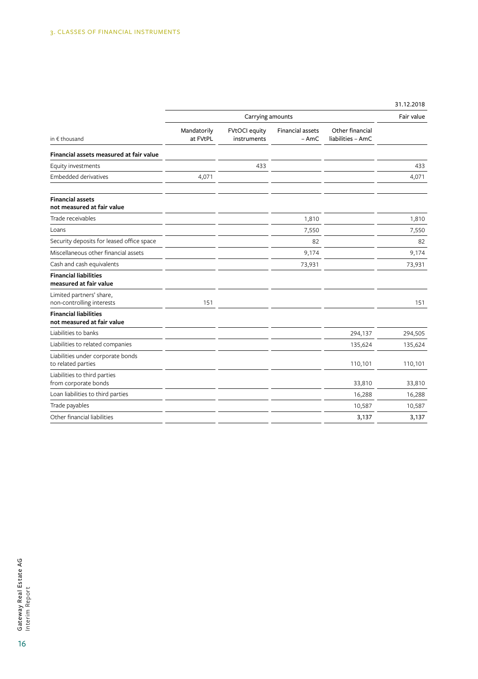|                                                            | Carrying amounts        |                                     |                                   |                                      |         |
|------------------------------------------------------------|-------------------------|-------------------------------------|-----------------------------------|--------------------------------------|---------|
| in $f$ thousand                                            | Mandatorily<br>at FVtPL | <b>FVtOCI</b> equity<br>instruments | <b>Financial assets</b><br>$-AmC$ | Other financial<br>liabilities - AmC |         |
| Financial assets measured at fair value                    |                         |                                     |                                   |                                      |         |
| Equity investments                                         |                         | 433                                 |                                   |                                      | 433     |
| <b>Embedded derivatives</b>                                | 4,071                   |                                     |                                   |                                      | 4,071   |
| <b>Financial assets</b><br>not measured at fair value      |                         |                                     |                                   |                                      |         |
| Trade receivables                                          |                         |                                     | 1,810                             |                                      | 1,810   |
| Loans                                                      |                         |                                     | 7,550                             |                                      | 7,550   |
| Security deposits for leased office space                  |                         |                                     | 82                                |                                      | 82      |
| Miscellaneous other financial assets                       |                         |                                     | 9,174                             |                                      | 9,174   |
| Cash and cash equivalents                                  |                         |                                     | 73,931                            |                                      | 73,931  |
| <b>Financial liabilities</b><br>measured at fair value     |                         |                                     |                                   |                                      |         |
| Limited partners' share,<br>non-controlling interests      | 151                     |                                     |                                   |                                      | 151     |
| <b>Financial liabilities</b><br>not measured at fair value |                         |                                     |                                   |                                      |         |
| Liabilities to banks                                       |                         |                                     |                                   | 294,137                              | 294,505 |
| Liabilities to related companies                           |                         |                                     |                                   | 135,624                              | 135,624 |
| Liabilities under corporate bonds<br>to related parties    |                         |                                     |                                   | 110,101                              | 110,101 |
| Liabilities to third parties<br>from corporate bonds       |                         |                                     |                                   | 33,810                               | 33,810  |
| Loan liabilities to third parties                          |                         |                                     |                                   | 16,288                               | 16,288  |
| Trade payables                                             |                         |                                     |                                   | 10,587                               | 10,587  |
| Other financial liabilities                                |                         |                                     |                                   | 3,137                                | 3,137   |

31.12.2018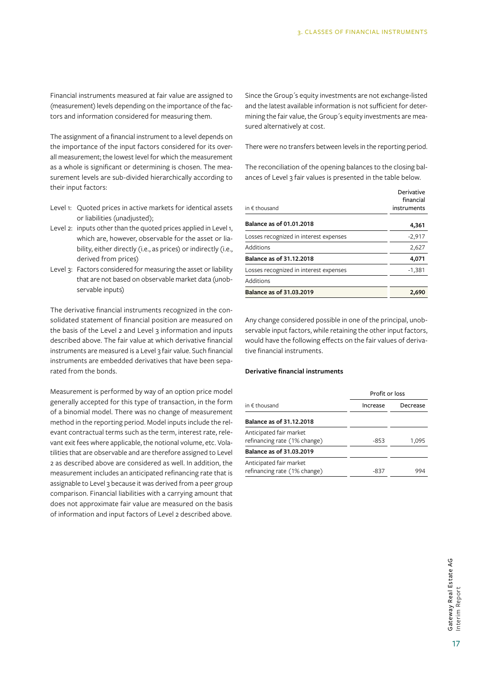Financial instruments measured at fair value are assigned to (measurement) levels depending on the importance of the factors and information considered for measuring them.

The assignment of a financial instrument to a level depends on the importance of the input factors considered for its overall measurement; the lowest level for which the measurement as a whole is significant or determining is chosen. The measurement levels are sub-divided hierarchically according to their input factors:

- Level 1: Quoted prices in active markets for identical assets or liabilities (unadjusted);
- Level 2: inputs other than the quoted prices applied in Level 1, which are, however, observable for the asset or liability, either directly (i.e., as prices) or indirectly (i.e., derived from prices)
- Level 3: Factors considered for measuring the asset or liability that are not based on observable market data (unobservable inputs)

The derivative financial instruments recognized in the consolidated statement of financial position are measured on the basis of the Level 2 and Level 3 information and inputs described above. The fair value at which derivative financial instruments are measured is a Level 3 fair value. Such financial instruments are embedded derivatives that have been separated from the bonds.

Measurement is performed by way of an option price model generally accepted for this type of transaction, in the form of a binomial model. There was no change of measurement method in the reporting period. Model inputs include the relevant contractual terms such as the term, interest rate, relevant exit fees where applicable, the notional volume, etc. Volatilities that are observable and are therefore assigned to Level 2 as described above are considered as well. In addition, the measurement includes an anticipated refinancing rate that is assignable to Level 3 because it was derived from a peer group comparison. Financial liabilities with a carrying amount that does not approximate fair value are measured on the basis of information and input factors of Level 2 described above.

Since the Group´s equity investments are not exchange-listed and the latest available information is not sufficient for determining the fair value, the Group's equity investments are measured alternatively at cost.

There were no transfers between levels in the reporting period.

The reconciliation of the opening balances to the closing balances of Level 3 fair values is presented in the table below.

| in € thousand                          | Derivative<br>financial<br>instruments |
|----------------------------------------|----------------------------------------|
|                                        |                                        |
| Balance as of 01.01.2018               | 4,361                                  |
| Losses recognized in interest expenses | $-2,917$                               |
| Additions                              | 2,627                                  |
| Balance as of 31.12.2018               | 4,071                                  |
| Losses recognized in interest expenses | $-1,381$                               |
| Additions                              |                                        |
| Balance as of 31.03.2019               | 2.690                                  |

Any change considered possible in one of the principal, unobservable input factors, while retaining the other input factors, would have the following effects on the fair values of derivative financial instruments.

#### **Derivative financial instruments**

|                                                         |          | Profit or loss |  |  |
|---------------------------------------------------------|----------|----------------|--|--|
| in $\epsilon$ thousand                                  | Increase | Decrease       |  |  |
| Balance as of 31.12.2018                                |          |                |  |  |
| Anticipated fair market<br>refinancing rate (1% change) | $-853$   | 1,095          |  |  |
| Balance as of 31.03.2019                                |          |                |  |  |
| Anticipated fair market<br>refinancing rate (1% change) | -837     | 994            |  |  |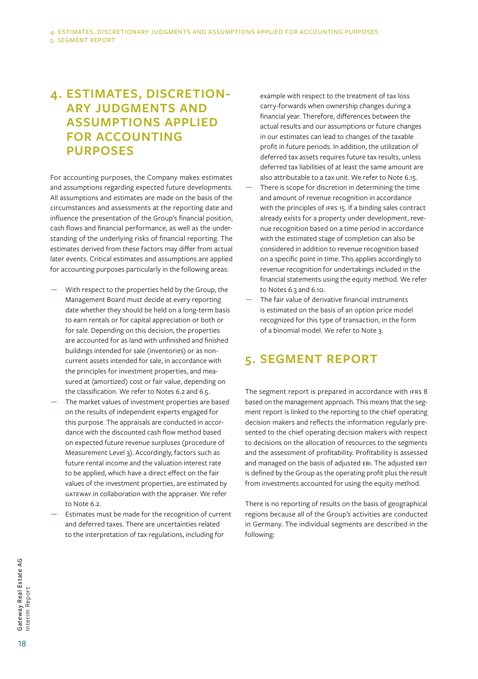# **4. ESTIMATES, DISCRETION-ARY JUDGMENTS AND ASSUMPTIONS APPLIED FOR ACCOUNTING PURPOSES**

For accounting purposes, the Company makes estimates and assumptions regarding expected future developments. All assumptions and estimates are made on the basis of the circumstances and assessments at the reporting date and influence the presentation of the Group's financial position, cash flows and financial performance, as well as the understanding of the underlying risks of financial reporting. The estimates derived from these factors may differ from actual later events. Critical estimates and assumptions are applied for accounting purposes particularly in the following areas:

- With respect to the properties held by the Group, the Management Board must decide at every reporting date whether they should be held on a long-term basis to earn rentals or for capital appreciation or both or for sale. Depending on this decision, the properties are accounted for as land with unfinished and finished buildings intended for sale (inventories) or as noncurrent assets intended for sale, in accordance with the principles for investment properties, and measured at (amortized) cost or fair value, depending on the classification. We refer to Notes 6.2 and 6.5.
- The market values of investment properties are based on the results of independent experts engaged for this purpose. The appraisals are conducted in accordance with the discounted cash flow method based on expected future revenue surpluses (procedure of Measurement Level 3). Accordingly, factors such as future rental income and the valuation interest rate to be applied, which have a direct effect on the fair values of the investment properties, are estimated by GATEWAY in collaboration with the appraiser. We refer to Note 6.2.
- Estimates must be made for the recognition of current and deferred taxes. There are uncertainties related to the interpretation of tax regulations, including for

example with respect to the treatment of tax loss carry-forwards when ownership changes during a financial year. Therefore, differences between the actual results and our assumptions or future changes in our estimates can lead to changes of the taxable profit in future periods. In addition, the utilization of deferred tax assets requires future tax results, unless deferred tax liabilities of at least the same amount are also attributable to a tax unit. We refer to Note 6.15.

- There is scope for discretion in determining the time and amount of revenue recognition in accordance with the principles of IFRS 15. If a binding sales contract already exists for a property under development, revenue recognition based on a time period in accordance with the estimated stage of completion can also be considered in addition to revenue recognition based on a specific point in time. This applies accordingly to revenue recognition for undertakings included in the financial statements using the equity method. We refer to Notes 6.3 and 6.10.
- The fair value of derivative financial instruments is estimated on the basis of an option price model recognized for this type of transaction, in the form of a binomial model. We refer to Note 3.

# **5. SEGMENT REPORT**

The segment report is prepared in accordance with IFRS 8 based on the management approach. This means that the segment report is linked to the reporting to the chief operating decision makers and reflects the information regularly presented to the chief operating decision makers with respect to decisions on the allocation of resources to the segments and the assessment of profitability. Profitability is assessed and managed on the basis of adjusted EBI. The adjusted EBIT is defined by the Group as the operating profit plus the result from investments accounted for using the equity method.

There is no reporting of results on the basis of geographical regions because all of the Group's activities are conducted in Germany. The individual segments are described in the following: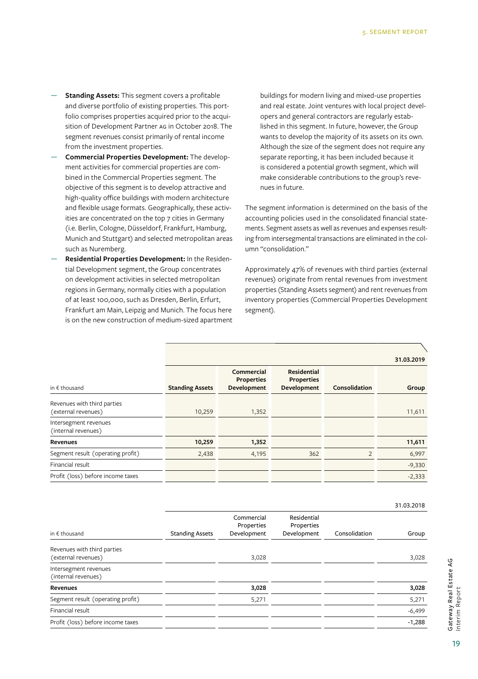- Standing Assets: This segment covers a profitable and diverse portfolio of existing properties. This portfolio comprises properties acquired prior to the acquisition of Development Partner AG in October 2018. The segment revenues consist primarily of rental income from the investment properties.
- **Commercial Properties Development:** The development activities for commercial properties are combined in the Commercial Properties segment. The objective of this segment is to develop attractive and high-quality office buildings with modern architecture and flexible usage formats. Geographically, these activities are concentrated on the top 7 cities in Germany (i.e. Berlin, Cologne, Düsseldorf, Frankfurt, Hamburg, Munich and Stuttgart) and selected metropolitan areas such as Nuremberg.
- **Residential Properties Development:** In the Residential Development segment, the Group concentrates on development activities in selected metropolitan regions in Germany, normally cities with a population of at least 100,000, such as Dresden, Berlin, Erfurt, Frankfurt am Main, Leipzig and Munich. The focus here is on the new construction of medium-sized apartment

buildings for modern living and mixed-use properties and real estate. Joint ventures with local project developers and general contractors are regularly established in this segment. In future, however, the Group wants to develop the majority of its assets on its own. Although the size of the segment does not require any separate reporting, it has been included because it is considered a potential growth segment, which will make considerable contributions to the group's revenues in future.

The segment information is determined on the basis of the accounting policies used in the consolidated financial statements. Segment assets as well as revenues and expenses resulting from intersegmental transactions are eliminated in the column "consolidation."

Approximately 47% of revenues with third parties (external revenues) originate from rental revenues from investment properties (Standing Assets segment) and rent revenues from inventory properties (Commercial Properties Development segment).

|                                                    |                        |                                                |                                                        |               | 31.03.2019 |
|----------------------------------------------------|------------------------|------------------------------------------------|--------------------------------------------------------|---------------|------------|
| in $f$ thousand                                    | <b>Standing Assets</b> | Commercial<br><b>Properties</b><br>Development | <b>Residential</b><br><b>Properties</b><br>Development | Consolidation | Group      |
| Revenues with third parties<br>(external revenues) | 10,259                 | 1,352                                          |                                                        |               | 11,611     |
| Intersegment revenues<br>(internal revenues)       |                        |                                                |                                                        |               |            |
| Revenues                                           | 10,259                 | 1,352                                          |                                                        |               | 11,611     |
| Segment result (operating profit)                  | 2,438                  | 4,195                                          | 362                                                    | $\mathcal{P}$ | 6,997      |
| Financial result                                   |                        |                                                |                                                        |               | $-9,330$   |
| Profit (loss) before income taxes                  |                        |                                                |                                                        |               | $-2,333$   |

31.03.2018

| in $\epsilon$ thousand                             | <b>Standing Assets</b> | Commercial<br>Properties<br>Development | Residential<br>Properties<br>Development | Consolidation | Group    |
|----------------------------------------------------|------------------------|-----------------------------------------|------------------------------------------|---------------|----------|
| Revenues with third parties<br>(external revenues) |                        | 3,028                                   |                                          |               | 3,028    |
| Intersegment revenues<br>(internal revenues)       |                        |                                         |                                          |               |          |
| Revenues                                           |                        | 3,028                                   |                                          |               | 3,028    |
| Segment result (operating profit)                  |                        | 5,271                                   |                                          |               | 5,271    |
| Financial result                                   |                        |                                         |                                          |               | $-6,499$ |
| Profit (loss) before income taxes                  |                        |                                         |                                          |               | $-1,288$ |
|                                                    |                        |                                         |                                          |               |          |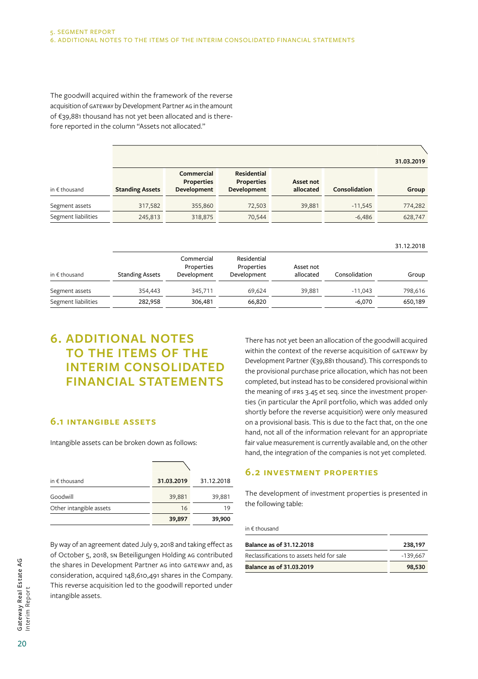The goodwill acquired within the framework of the reverse acquisition of GATEWAY by Development Partner AG in the amount of €39,881 thousand has not yet been allocated and is therefore reported in the column "Assets not allocated."

|                        |                        |                                                |                                                 |                        |               | 31.03.2019 |
|------------------------|------------------------|------------------------------------------------|-------------------------------------------------|------------------------|---------------|------------|
| in $\epsilon$ thousand | <b>Standing Assets</b> | Commercial<br><b>Properties</b><br>Development | Residential<br><b>Properties</b><br>Development | Asset not<br>allocated | Consolidation | Group      |
| Segment assets         | 317,582                | 355,860                                        | 72,503                                          | 39,881                 | $-11,545$     | 774,282    |
| Segment liabilities    | 245,813                | 318,875                                        | 70,544                                          |                        | $-6,486$      | 628,747    |

|                        |                        |                                         |                                          |                        |               | 31.12.2018 |
|------------------------|------------------------|-----------------------------------------|------------------------------------------|------------------------|---------------|------------|
| in $\epsilon$ thousand | <b>Standing Assets</b> | Commercial<br>Properties<br>Development | Residential<br>Properties<br>Development | Asset not<br>allocated | Consolidation | Group      |
| Segment assets         | 354,443                | 345,711                                 | 69.624                                   | 39,881                 | $-11,043$     | 798,616    |
| Segment liabilities    | 282,958                | 306,481                                 | 66,820                                   |                        | $-6,070$      | 650,189    |

# **6. ADDITIONAL NOTES TO THE ITEMS OF THE INTERIM CONSOLIDATED FINANCIAL STATEMENTS**

### **6.1 Intangible assets**

Intangible assets can be broken down as follows:

| in $f$ thousand         | 31.03.2019 | 31.12.2018 |
|-------------------------|------------|------------|
| Goodwill                | 39,881     | 39,881     |
| Other intangible assets | 16         | 19         |
|                         | 39,897     | 39,900     |

By way of an agreement dated July 9, 2018 and taking effect as of October 5, 2018, SN Beteiligungen Holding AG contributed the shares in Development Partner AG into GATEWAY and, as consideration, acquired 148,610,491 shares in the Company. This reverse acquisition led to the goodwill reported under intangible assets.

There has not yet been an allocation of the goodwill acquired within the context of the reverse acquisition of GATEWAY by Development Partner (€39,881 thousand). This corresponds to the provisional purchase price allocation, which has not been completed, but instead has to be considered provisional within the meaning of IFRS 3.45 et seq. since the investment properties (in particular the April portfolio, which was added only shortly before the reverse acquisition) were only measured on a provisional basis. This is due to the fact that, on the one hand, not all of the information relevant for an appropriate fair value measurement is currently available and, on the other hand, the integration of the companies is not yet completed.

31.12.2018

#### **6.2 Investment properties**

The development of investment properties is presented in the following table:

in € thousand

| Balance as of 31.12.2018                  | 238,197    |
|-------------------------------------------|------------|
| Reclassifications to assets held for sale | $-139.667$ |
| Balance as of 31.03.2019                  | 98,530     |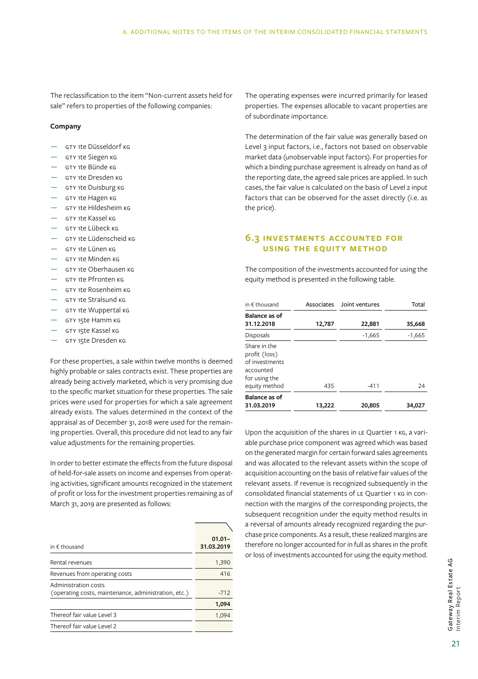The reclassification to the item "Non-current assets held for sale" refers to properties of the following companies:

#### **Company**

- GTY 1te Düsseldorf KG
- GTY 1te Siegen KG
- GTY 1te Bünde KG
- GTY 1te Dresden KG
- GTY 1te Duisburg KG
- GTY 1te Hagen KG
- GTY 1te Hildesheim KG
- $-$  GTY 1te Kassel KG
- GTY 1te Lübeck KG
- GTY 1te Lüdenscheid KG
- GTY 1te Lünen KG
- GTY 1te Minden KG
- GTY 1te Oberhausen KG
- $-$  GTY 1te Pfronten KG
- GTY 1te Rosenheim KG
- GTY 1te Stralsund KG
- GTY 1te Wuppertal KG
- GTY 15te Hamm KG
- GTY 15te Kassel KG
- GTY 15te Dresden KG

For these properties, a sale within twelve months is deemed highly probable or sales contracts exist. These properties are already being actively marketed, which is very promising due to the specific market situation for these properties. The sale prices were used for properties for which a sale agreement already exists. The values determined in the context of the appraisal as of December  31, 2018 were used for the remaining properties. Overall, this procedure did not lead to any fair value adjustments for the remaining properties.

In order to better estimate the effects from the future disposal of held-for-sale assets on income and expenses from operating activities, significant amounts recognized in the statement of profit or loss for the investment properties remaining as of March 31, 2019 are presented as follows:

| in $f$ thousand                                                              | $01.01 -$<br>31.03.2019 |
|------------------------------------------------------------------------------|-------------------------|
| Rental revenues                                                              | 1,390                   |
| Revenues from operating costs                                                | 416                     |
| Administration costs<br>(operating costs, maintenance, administration, etc.) | $-712$                  |
|                                                                              | 1,094                   |
| Thereof fair value Level 3                                                   | 1.094                   |
| Thereof fair value Level 2                                                   |                         |
|                                                                              |                         |

The operating expenses were incurred primarily for leased properties. The expenses allocable to vacant properties are of subordinate importance.

The determination of the fair value was generally based on Level 3 input factors, i.e., factors not based on observable market data (unobservable input factors). For properties for which a binding purchase agreement is already on hand as of the reporting date, the agreed sale prices are applied. In such cases, the fair value is calculated on the basis of Level  2 input factors that can be observed for the asset directly (i.e.  as the price).

### **6.3 Investments accounted for using the equity method**

The composition of the investments accounted for using the equity method is presented in the following table.

| in $f$ thousand                                                                                |        | Associates Joint ventures | Total    |
|------------------------------------------------------------------------------------------------|--------|---------------------------|----------|
| <b>Balance as of</b><br>31.12.2018                                                             | 12,787 | 22,881                    | 35,668   |
| Disposals                                                                                      |        | $-1,665$                  | $-1,665$ |
| Share in the<br>profit (loss)<br>of investments<br>accounted<br>for using the<br>equity method | 435    | $-411$                    | 24       |
| <b>Balance as of</b><br>31.03.2019                                                             | 13,222 | 20,805                    | 34,027   |

Upon the acquisition of the shares in LE Quartier 1 KG, a variable purchase price component was agreed which was based on the generated margin for certain forward sales agreements and was allocated to the relevant assets within the scope of acquisition accounting on the basis of relative fair values of the relevant assets. If revenue is recognized subsequently in the consolidated financial statements of LE Quartier 1 KG in connection with the margins of the corresponding projects, the subsequent recognition under the equity method results in a reversal of amounts already recognized regarding the purchase price components. As a result, these realized margins are therefore no longer accounted for in full as shares in the profit or loss of investments accounted for using the equity method.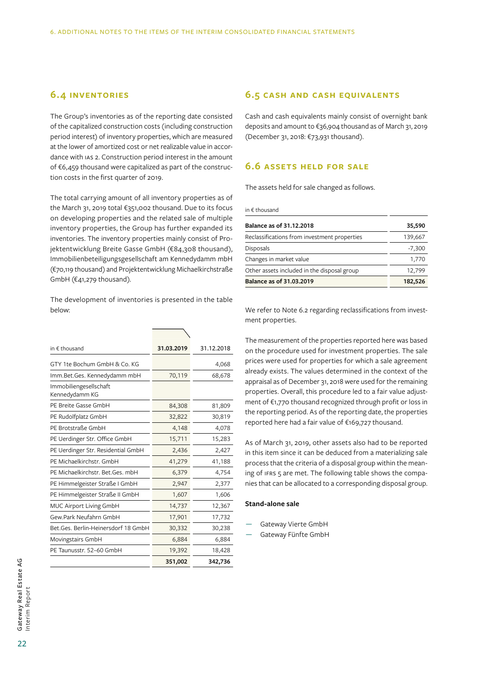### **6.4 Inventories**

The Group's inventories as of the reporting date consisted of the capitalized construction costs (including construction period interest) of inventory properties, which are measured at the lower of amortized cost or net realizable value in accordance with IAS 2. Construction period interest in the amount of €6,459 thousand were capitalized as part of the construction costs in the first quarter of 2019.

The total carrying amount of all inventory properties as of the March 31, 2019 total €351,002 thousand. Due to its focus on developing properties and the related sale of multiple inventory properties, the Group has further expanded its inventories. The inventory properties mainly consist of Projektentwicklung Breite Gasse GmbH (€84,308 thousand), Immobilienbeteiligungsgesellschaft am Kennedydamm mbH (€70,119 thousand) and Projektentwicklung Michaelkirchstraße GmbH (€41,279 thousand).

The development of inventories is presented in the table below:

| in $\epsilon$ thousand                   | 31.03.2019 | 31.12.2018 |
|------------------------------------------|------------|------------|
| GTY 1te Bochum GmbH & Co. KG             |            | 4,068      |
| Imm.Bet.Ges. Kennedydamm mbH             | 70,119     | 68,678     |
| Immobiliengesellschaft<br>Kennedydamm KG |            |            |
| PE Breite Gasse GmbH                     | 84,308     | 81,809     |
| PE Rudolfplatz GmbH                      | 32,822     | 30,819     |
| PE Brotstraße GmbH                       | 4,148      | 4,078      |
| PE Uerdinger Str. Office GmbH            | 15,711     | 15,283     |
| PE Uerdinger Str. Residential GmbH       | 2,436      | 2,427      |
| PE Michaelkirchstr. GmbH                 | 41,279     | 41,188     |
| PE Michaelkirchstr. Bet.Ges. mbH         | 6,379      | 4,754      |
| PE Himmelgeister Straße I GmbH           | 2,947      | 2,377      |
| PE Himmelgeister Straße II GmbH          | 1,607      | 1,606      |
| MUC Airport Living GmbH                  | 14,737     | 12,367     |
| Gew.Park Neufahrn GmbH                   | 17,901     | 17,732     |
| Bet.Ges. Berlin-Heinersdorf 18 GmbH      | 30,332     | 30,238     |
| Movingstairs GmbH                        | 6,884      | 6,884      |
| PE Taunusstr. 52-60 GmbH                 | 19,392     | 18,428     |
|                                          | 351,002    | 342,736    |

### **6.5 Cash and cash equivalents**

Cash and cash equivalents mainly consist of overnight bank deposits and amount to €36,904 thousand as of March 31,  2019 (December 31, 2018: €73,931 thousand).

#### **6.6 Assets held for sale**

The assets held for sale changed as follows.

in € thousand

| <b>Balance as of 31.12.2018</b>              | 35,590   |
|----------------------------------------------|----------|
| Reclassifications from investment properties | 139,667  |
| <b>Disposals</b>                             | $-7,300$ |
| Changes in market value                      | 1,770    |
| Other assets included in the disposal group  | 12,799   |
| Balance as of 31.03.2019                     | 182,526  |

We refer to Note 6.2 regarding reclassifications from investment properties.

The measurement of the properties reported here was based on the procedure used for investment properties. The sale prices were used for properties for which a sale agreement already exists. The values determined in the context of the appraisal as of December 31, 2018 were used for the remaining properties. Overall, this procedure led to a fair value adjustment of €1,770 thousand recognized through profit or loss in the reporting period. As of the reporting date, the properties reported here had a fair value of €169,727 thousand.

As of March 31, 2019, other assets also had to be reported in this item since it can be deduced from a materializing sale process that the criteria of a disposal group within the meaning of IFRS 5 are met. The following table shows the companies that can be allocated to a corresponding disposal group.

#### **Stand-alone sale**

- Gateway Vierte GmbH
- Gateway Fünfte GmbH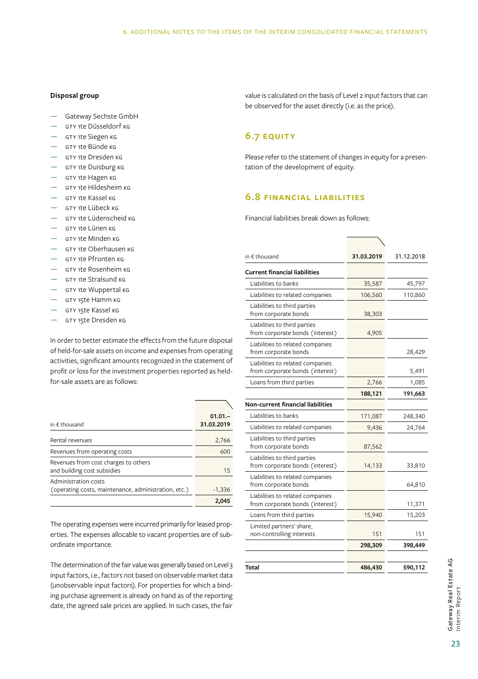#### **Disposal group**

- Gateway Sechste GmbH
- GTY 1te Düsseldorf KG
- GTY 1te Siegen KG
- GTY 1te Bünde KG
- GTY 1te Dresden KG
- GTY 1te Duisburg KG
- GTY 1te Hagen KG
- GTY 1te Hildesheim KG
- GTY 1te Kassel KG
- GTY 1te Lübeck KG
- GTY 1te Lüdenscheid KG
- GTY 1te Lünen KG
- GTY 1te Minden KG
- GTY 1te Oberhausen KG
- GTY 1te Pfronten KG
- GTY 1te Rosenheim KG
- GTY 1te Stralsund KG
- GTY 1te Wuppertal KG
- GTY 15te Hamm KG
- GTY 15te Kassel KG
- GTY 15te Dresden KG

In order to better estimate the effects from the future disposal of held-for-sale assets on income and expenses from operating activities, significant amounts recognized in the statement of profit or loss for the investment properties reported as heldfor-sale assets are as follows:

| in $f$ thousand                                                              | $01.01 -$<br>31.03.2019 |
|------------------------------------------------------------------------------|-------------------------|
| Rental revenues                                                              | 2,766                   |
| Revenues from operating costs                                                | 600                     |
| Revenues from cost charges to others<br>and building cost subsidies          | 15                      |
| Administration costs<br>(operating costs, maintenance, administration, etc.) | $-1,336$                |
|                                                                              | 2,045                   |

The operating expenses were incurred primarily for leased properties. The expenses allocable to vacant properties are of subordinate importance.

The determination of the fair value was generally based on Level 3 input factors, i.e., factors not based on observable market data (unobservable input factors). For properties for which a binding purchase agreement is already on hand as of the reporting date, the agreed sale prices are applied. In such cases, the fair value is calculated on the basis of Level 2 input factors that can be observed for the asset directly (i.e. as the price).

### **6.7 Equity**

Please refer to the statement of changes in equity for a presentation of the development of equity.

### **6.8 Financial liabilities**

Financial liabilities break down as follows:

| in € thousand                                                       | 31.03.2019 | 31.12.2018 |
|---------------------------------------------------------------------|------------|------------|
| <b>Current financial liabilities</b>                                |            |            |
| Liabilities to banks                                                | 35,587     | 45,797     |
| Liabilities to related companies                                    | 106,560    | 110,860    |
| Liabilities to third parties<br>from corporate bonds                | 38,303     |            |
| Liabilities to third parties<br>from corporate bonds (interest)     | 4,905      |            |
| Liabilities to related companies<br>from corporate bonds            |            | 28,429     |
| Liabilities to related companies<br>from corporate bonds (interest) |            | 5,491      |
| Loans from third parties                                            | 2,766      | 1,085      |
|                                                                     | 188,121    | 191,663    |
| <b>Non-current financial liabilities</b>                            |            |            |
| Liabilities to banks                                                | 171,087    | 248,340    |
| Liabilities to related companies                                    | 9,436      | 24,764     |
| Liabilities to third parties<br>from corporate bonds                | 87,562     |            |
| Liabilities to third parties<br>from corporate bonds (interest)     | 14,133     | 33,810     |
| Liabilities to related companies<br>from corporate bonds            |            | 64,810     |
| Liabilities to related companies<br>from corporate bonds (interest) |            | 11,371     |
| Loans from third parties                                            | 15,940     | 15,203     |
| Limited partners' share,<br>non-controlling interests               | 151        | 151        |
|                                                                     | 298,309    | 398,449    |
|                                                                     |            |            |
| Total                                                               | 486,430    | 590,112    |
|                                                                     |            |            |

Gateway Real Estate AG<br>Interim Report 23Gateway Real Estate AG Interim Report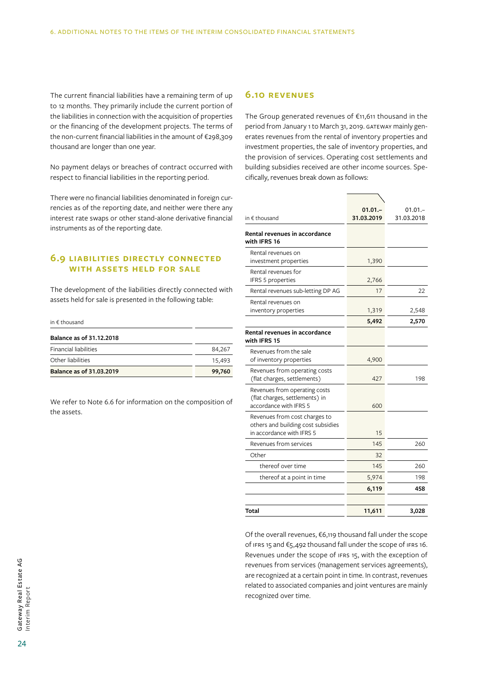The current financial liabilities have a remaining term of up to 12 months. They primarily include the current portion of the liabilities in connection with the acquisition of properties or the financing of the development projects. The terms of the non-current financial liabilities in the amount of €298,309 thousand are longer than one year.

No payment delays or breaches of contract occurred with respect to financial liabilities in the reporting period.

There were no financial liabilities denominated in foreign currencies as of the reporting date, and neither were there any interest rate swaps or other stand-alone derivative financial instruments as of the reporting date.

#### **6.9 Liabilities directly connected with assets held for sale**

The development of the liabilities directly connected with assets held for sale is presented in the following table:

#### in € thousand

| Balance as of 31.12.2018     |        |
|------------------------------|--------|
| <b>Financial liabilities</b> | 84,267 |
| Other liabilities            | 15,493 |
| Balance as of 31.03.2019     | 99,760 |

We refer to Note 6.6 for information on the composition of the assets.

#### **6.10 Revenues**

The Group generated revenues of €11,611 thousand in the period from January 1 to March 31, 2019. GATEWAY mainly generates revenues from the rental of inventory properties and investment properties, the sale of inventory properties, and the provision of services. Operating cost settlements and building subsidies received are other income sources. Specifically, revenues break down as follows:

| in $\epsilon$ thousand                                                                           | $01.01 -$<br>31.03.2019 | $01.01 -$<br>31.03.2018 |
|--------------------------------------------------------------------------------------------------|-------------------------|-------------------------|
| Rental revenues in accordance<br>with IFRS 16                                                    |                         |                         |
| Rental revenues on<br>investment properties                                                      | 1,390                   |                         |
| Rental revenues for<br>IFRS 5 properties                                                         | 2,766                   |                         |
| Rental revenues sub-letting DP AG                                                                | 17                      | 22                      |
| Rental revenues on<br>inventory properties                                                       | 1,319                   | 2,548                   |
|                                                                                                  | 5,492                   | 2,570                   |
| Rental revenues in accordance<br>with IFRS 15                                                    |                         |                         |
| Revenues from the sale<br>of inventory properties                                                | 4,900                   |                         |
| Revenues from operating costs<br>(flat charges, settlements)                                     | 427                     | 198                     |
| Revenues from operating costs<br>(flat charges, settlements) in<br>accordance with IFRS 5        | 600                     |                         |
| Revenues from cost charges to<br>others and building cost subsidies<br>in accordance with IFRS 5 | 15                      |                         |
| Revenues from services                                                                           | 145                     | 260                     |
| Other                                                                                            | 32                      |                         |
| thereof over time                                                                                | 145                     | 260                     |
| thereof at a point in time                                                                       | 5,974                   | 198                     |
|                                                                                                  | 6,119                   | 458                     |
|                                                                                                  |                         |                         |
| Total                                                                                            | 11,611                  | 3,028                   |

Of the overall revenues, €6,119 thousand fall under the scope of IFRS 15 and €5,492 thousand fall under the scope of IFRS 16. Revenues under the scope of IFRS 15, with the exception of revenues from services (management services agreements), are recognized at a certain point in time. In contrast, revenues related to associated companies and joint ventures are mainly recognized over time.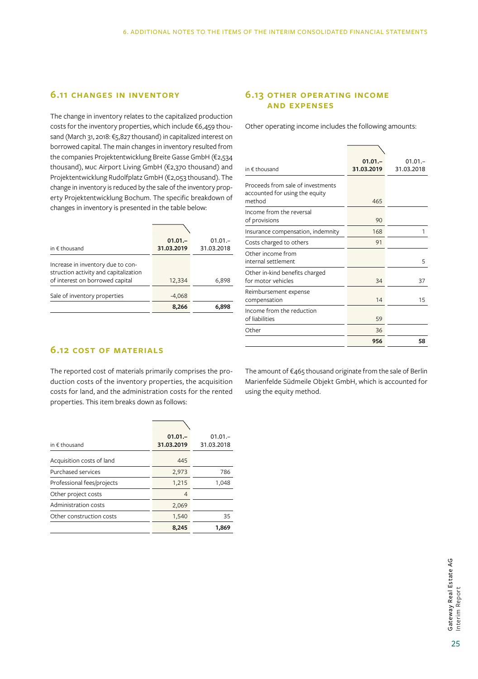### **6.11 Changes in inventory**

The change in inventory relates to the capitalized production costs for the inventory properties, which include €6,459 thousand (March 31, 2018: €5,827 thousand) in capitalized interest on borrowed capital. The main changes in inventory resulted from the companies Projektentwicklung Breite Gasse GmbH (€2,534 thousand), MUC Airport Living GmbH (€2,370 thousand) and Projektentwicklung Rudolfplatz GmbH (€2,053 thousand). The change in inventory is reduced by the sale of the inventory property Projektentwicklung Bochum. The specific breakdown of changes in inventory is presented in the table below:

| in $\epsilon$ thousand                                                                                        | $01.01 -$<br>31.03.2019 | $01.01 -$<br>31.03.2018 |
|---------------------------------------------------------------------------------------------------------------|-------------------------|-------------------------|
| Increase in inventory due to con-<br>struction activity and capitalization<br>of interest on borrowed capital | 12,334                  | 6,898                   |
| Sale of inventory properties                                                                                  | $-4,068$                |                         |
|                                                                                                               | 8,266                   | 6.898                   |

### **6.13 Other operating income and expenses**

Other operating income includes the following amounts:

| in € thousand                                                                 | $01.01 -$<br>31.03.2019 | $01.01 -$<br>31.03.2018 |
|-------------------------------------------------------------------------------|-------------------------|-------------------------|
| Proceeds from sale of investments<br>accounted for using the equity<br>method | 465                     |                         |
| Income from the reversal<br>of provisions                                     | 90                      |                         |
| Insurance compensation, indemnity                                             | 168                     | 1                       |
| Costs charged to others                                                       | 91                      |                         |
| Other income from<br>internal settlement                                      |                         | 5                       |
| Other in-kind benefits charged<br>for motor vehicles                          | 34                      | 37                      |
| Reimbursement expense<br>compensation                                         | 14                      | 15                      |
| Income from the reduction<br>of liabilities                                   | 59                      |                         |
| Other                                                                         | 36                      |                         |
|                                                                               | 956                     | 58                      |

## **6.12 Cost of materials**

The reported cost of materials primarily comprises the production costs of the inventory properties, the acquisition costs for land, and the administration costs for the rented properties. This item breaks down as follows:

| in $f$ thousand            | $01.01 -$<br>31.03.2019 | $01.01 -$<br>31.03.2018 |
|----------------------------|-------------------------|-------------------------|
| Acquisition costs of land  | 445                     |                         |
| Purchased services         | 2,973                   | 786                     |
| Professional fees/projects | 1,215                   | 1,048                   |
| Other project costs        | 4                       |                         |
| Administration costs       | 2,069                   |                         |
| Other construction costs   | 1,540                   | 35                      |
|                            | 8,245                   | 1,869                   |

The amount of €465 thousand originate from the sale of Berlin Marienfelde Südmeile Objekt GmbH, which is accounted for using the equity method.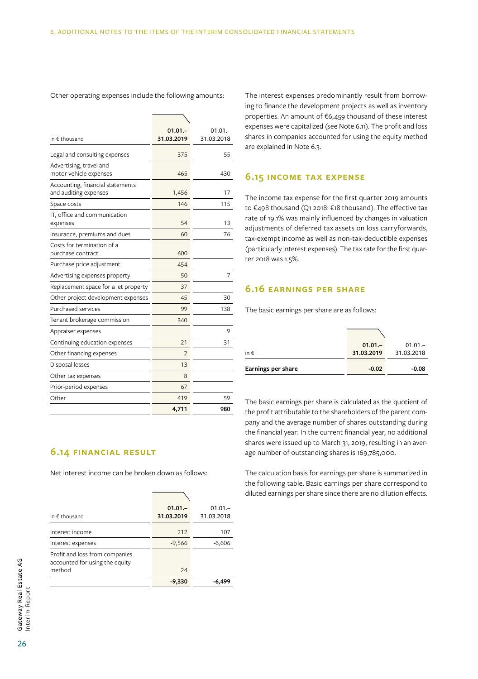| in $\epsilon$ thousand                                    | $01.01 -$<br>31.03.2019 | $01.01 -$<br>31.03.2018 |
|-----------------------------------------------------------|-------------------------|-------------------------|
| Legal and consulting expenses                             | 375                     | 55                      |
| Advertising, travel and<br>motor vehicle expenses         | 465                     | 430                     |
| Accounting, financial statements<br>and auditing expenses | 1,456                   | 17                      |
| Space costs                                               | 146                     | 115                     |
| IT, office and communication<br>expenses                  | 54                      | 13                      |
| Insurance, premiums and dues                              | 60                      | 76                      |
| Costs for termination of a<br>purchase contract           | 600                     |                         |
| Purchase price adjustment                                 | 454                     |                         |
| Advertising expenses property                             | 50                      | 7                       |
| Replacement space for a let property                      | 37                      |                         |
| Other project development expenses                        | 45                      | 30                      |
| Purchased services                                        | 99                      | 138                     |
| Tenant brokerage commission                               | 340                     |                         |
| Appraiser expenses                                        |                         | 9                       |
| Continuing education expenses                             | 21                      | 31                      |
| Other financing expenses                                  | $\overline{2}$          |                         |
| Disposal losses                                           | 13                      |                         |
| Other tax expenses                                        | 8                       |                         |
| Prior-period expenses                                     | 67                      |                         |
| Other                                                     | 419                     | 59                      |
|                                                           | 4,711                   | 980                     |

Other operating expenses include the following amounts:

## **6.14 Financial result**

Net interest income can be broken down as follows:

| in $f$ thousand                                                  | $01.01 -$<br>31.03.2019 | $01.01 -$<br>31.03.2018 |
|------------------------------------------------------------------|-------------------------|-------------------------|
| Interest income                                                  | 212                     | 107                     |
| Interest expenses                                                | $-9,566$                | $-6,606$                |
| Profit and loss from companies<br>accounted for using the equity |                         |                         |
| method                                                           | 24                      |                         |
|                                                                  | $-9,330$                | -6.499                  |

The interest expenses predominantly result from borrowing to finance the development projects as well as inventory properties. An amount of €6,459 thousand of these interest expenses were capitalized (see Note 6.11). The profit and loss shares in companies accounted for using the equity method are explained in Note 6.3.

#### **6.15 Income tax expense**

The income tax expense for the first quarter 2019 amounts to €498 thousand (Q1 2018: €18 thousand). The effective tax rate of 19.1% was mainly influenced by changes in valuation adjustments of deferred tax assets on loss carryforwards, tax-exempt income as well as non-tax-deductible expenses (particularly interest expenses). The tax rate for the first quarter 2018 was 1.5%.

### **6.16 Earnings per share**

The basic earnings per share are as follows:

| Earnings per share | $-0.02$    | $-0.08$    |
|--------------------|------------|------------|
| in $\epsilon$      | 31.03.2019 | 31.03.2018 |
|                    | $01.01 -$  | $01.01 -$  |
|                    |            |            |

The basic earnings per share is calculated as the quotient of the profit attributable to the shareholders of the parent company and the average number of shares outstanding during the financial year: In the current financial year, no additional shares were issued up to March 31, 2019, resulting in an average number of outstanding shares is 169,785,000.

The calculation basis for earnings per share is summarized in the following table. Basic earnings per share correspond to diluted earnings per share since there are no dilution effects.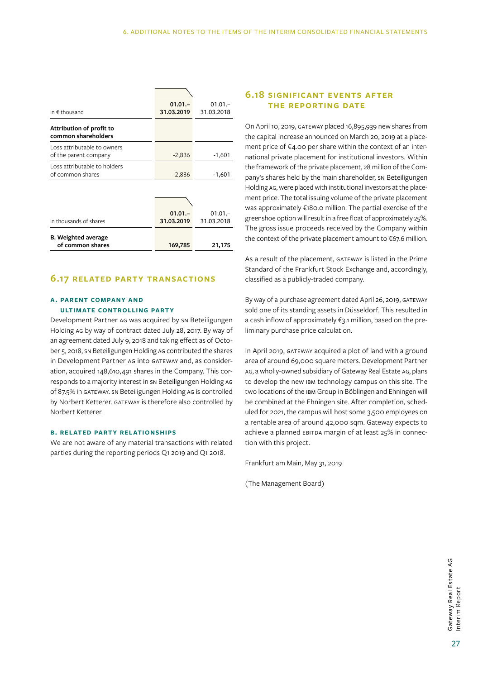| in $\epsilon$ thousand                               | $01.01 -$<br>31.03.2019 | $01.01 -$<br>31.03.2018 |
|------------------------------------------------------|-------------------------|-------------------------|
| Attribution of profit to                             |                         |                         |
| common shareholders                                  |                         |                         |
| Loss attributable to owners<br>of the parent company | $-2,836$                | $-1,601$                |
| Loss attributable to holders<br>of common shares     | $-2,836$                | $-1,601$                |
|                                                      |                         |                         |
|                                                      |                         |                         |
|                                                      | $01.01 -$               | $01.01 -$               |
| in thousands of shares                               | 31.03.2019              | 31.03.2018              |
| <b>B.</b> Weighted average                           |                         |                         |
| of common shares                                     | 169,785                 | 21,175                  |

#### **6.17 Related party transactions**

#### **A. Parent company and ultimate controlling party**

Development Partner AG was acquired by SN Beteiligungen Holding AG by way of contract dated July 28, 2017. By way of an agreement dated July 9, 2018 and taking effect as of October 5, 2018, SN Beteiligungen Holding AG contributed the shares in Development Partner AG into GATEWAY and, as consideration, acquired 148,610,491 shares in the Company. This corresponds to a majority interest in SN Beteiligungen Holding AG of 87.5% in GATEWAY. SN Beteiligungen Holding AG is controlled by Norbert Ketterer. GATEWAY is therefore also controlled by Norbert Ketterer.

#### **B. Related party relationships**

We are not aware of any material transactions with related parties during the reporting periods Q1 2019 and Q1 2018.

### **6.18 Significant events after the reporting date**

On April 10, 2019, GATEWAY placed 16,895,939 new shares from the capital increase announced on March 20, 2019 at a placement price of €4.00 per share within the context of an international private placement for institutional investors. Within the framework of the private placement, 28 million of the Company's shares held by the main shareholder, sn Beteiligungen Holding AG, were placed with institutional investors at the placement price. The total issuing volume of the private placement was approximately €180.0 million. The partial exercise of the greenshoe option will result in a free float of approximately  25%. The gross issue proceeds received by the Company within the context of the private placement amount to €67.6 million.

As a result of the placement, GATEWAY is listed in the Prime Standard of the Frankfurt Stock Exchange and, accordingly, classified as a publicly-traded company.

By way of a purchase agreement dated April 26, 2019, GATEWAY sold one of its standing assets in Düsseldorf. This resulted in a cash inflow of approximately €3.1 million, based on the preliminary purchase price calculation.

In April 2019, GATEWAY acquired a plot of land with a ground area of around 69,000 square meters. Development Partner AG, a wholly-owned subsidiary of Gateway Real Estate AG, plans to develop the new IBM technology campus on this site. The two locations of the IBM Group in Böblingen and Ehningen will be combined at the Ehningen site. After completion, scheduled for 2021, the campus will host some 3,500 employees on a rentable area of around 42,000 sqm. Gateway expects to achieve a planned EBITDA margin of at least 25% in connection with this project.

Frankfurt am Main, May 31, 2019

(The Management Board)